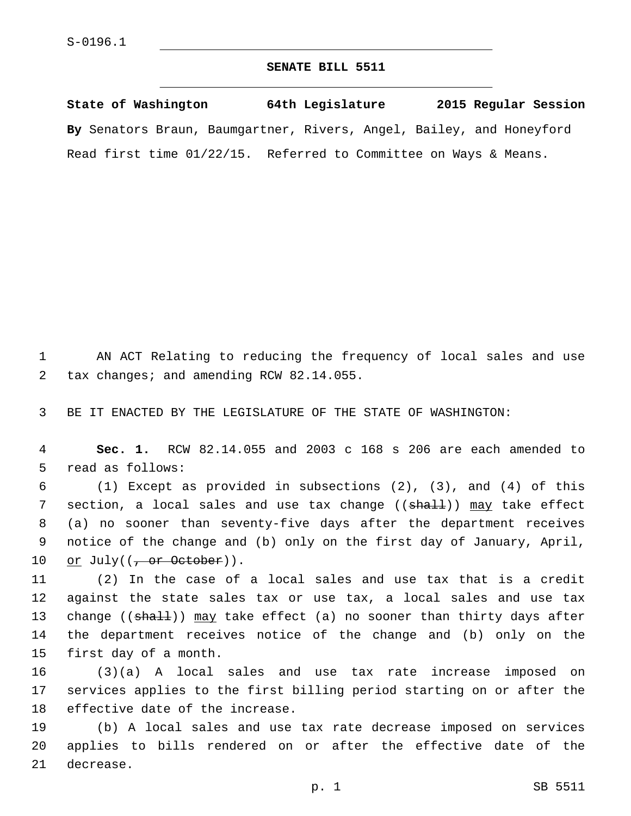## **SENATE BILL 5511**

**State of Washington 64th Legislature 2015 Regular Session By** Senators Braun, Baumgartner, Rivers, Angel, Bailey, and Honeyford Read first time 01/22/15. Referred to Committee on Ways & Means.

1 AN ACT Relating to reducing the frequency of local sales and use 2 tax changes; and amending RCW 82.14.055.

3 BE IT ENACTED BY THE LEGISLATURE OF THE STATE OF WASHINGTON:

4 **Sec. 1.** RCW 82.14.055 and 2003 c 168 s 206 are each amended to 5 read as follows:

6 (1) Except as provided in subsections (2), (3), and (4) of this 7 section, a local sales and use tax change ((shall)) may take effect 8 (a) no sooner than seventy-five days after the department receives 9 notice of the change and (b) only on the first day of January, April, 10 or July( $(\frac{\pi}{1000})$ ).

11 (2) In the case of a local sales and use tax that is a credit 12 against the state sales tax or use tax, a local sales and use tax 13 change ((shall)) may take effect (a) no sooner than thirty days after 14 the department receives notice of the change and (b) only on the 15 first day of a month.

16 (3)(a) A local sales and use tax rate increase imposed on 17 services applies to the first billing period starting on or after the 18 effective date of the increase.

19 (b) A local sales and use tax rate decrease imposed on services 20 applies to bills rendered on or after the effective date of the 21 decrease.